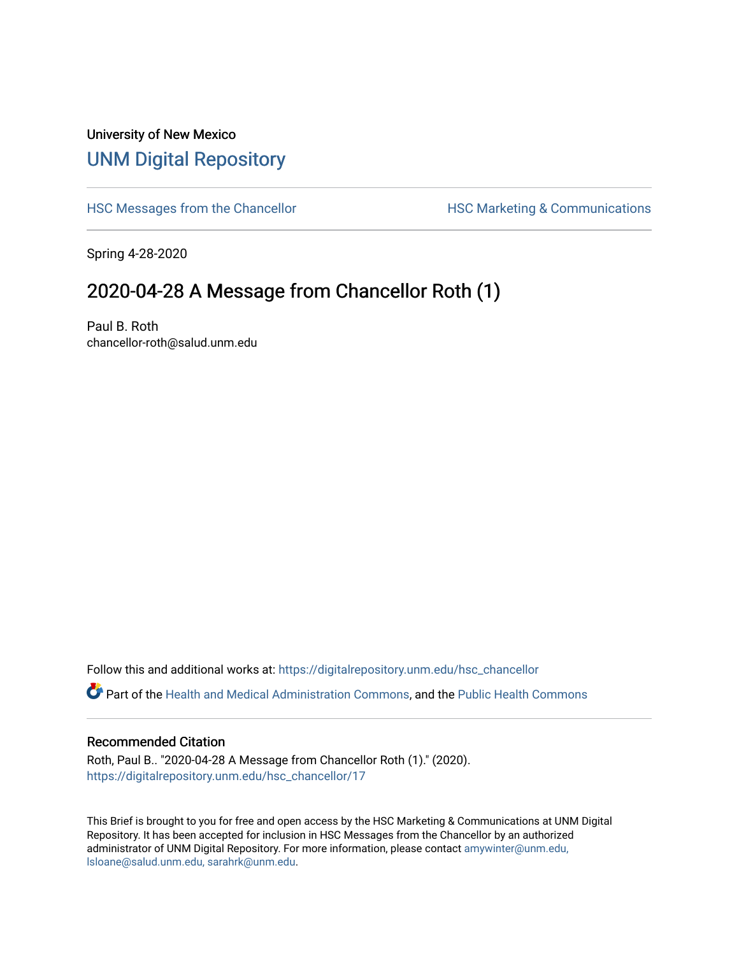## University of New Mexico [UNM Digital Repository](https://digitalrepository.unm.edu/)

[HSC Messages from the Chancellor](https://digitalrepository.unm.edu/hsc_chancellor) **HSC Marketing & Communications** 

Spring 4-28-2020

## 2020-04-28 A Message from Chancellor Roth (1)

Paul B. Roth chancellor-roth@salud.unm.edu

Follow this and additional works at: [https://digitalrepository.unm.edu/hsc\\_chancellor](https://digitalrepository.unm.edu/hsc_chancellor?utm_source=digitalrepository.unm.edu%2Fhsc_chancellor%2F17&utm_medium=PDF&utm_campaign=PDFCoverPages) 

Part of the [Health and Medical Administration Commons](http://network.bepress.com/hgg/discipline/663?utm_source=digitalrepository.unm.edu%2Fhsc_chancellor%2F17&utm_medium=PDF&utm_campaign=PDFCoverPages), and the [Public Health Commons](http://network.bepress.com/hgg/discipline/738?utm_source=digitalrepository.unm.edu%2Fhsc_chancellor%2F17&utm_medium=PDF&utm_campaign=PDFCoverPages) 

## Recommended Citation

Roth, Paul B.. "2020-04-28 A Message from Chancellor Roth (1)." (2020). [https://digitalrepository.unm.edu/hsc\\_chancellor/17](https://digitalrepository.unm.edu/hsc_chancellor/17?utm_source=digitalrepository.unm.edu%2Fhsc_chancellor%2F17&utm_medium=PDF&utm_campaign=PDFCoverPages)

This Brief is brought to you for free and open access by the HSC Marketing & Communications at UNM Digital Repository. It has been accepted for inclusion in HSC Messages from the Chancellor by an authorized administrator of UNM Digital Repository. For more information, please contact [amywinter@unm.edu,](mailto:amywinter@unm.edu,%20lsloane@salud.unm.edu,%20sarahrk@unm.edu) [lsloane@salud.unm.edu, sarahrk@unm.edu.](mailto:amywinter@unm.edu,%20lsloane@salud.unm.edu,%20sarahrk@unm.edu)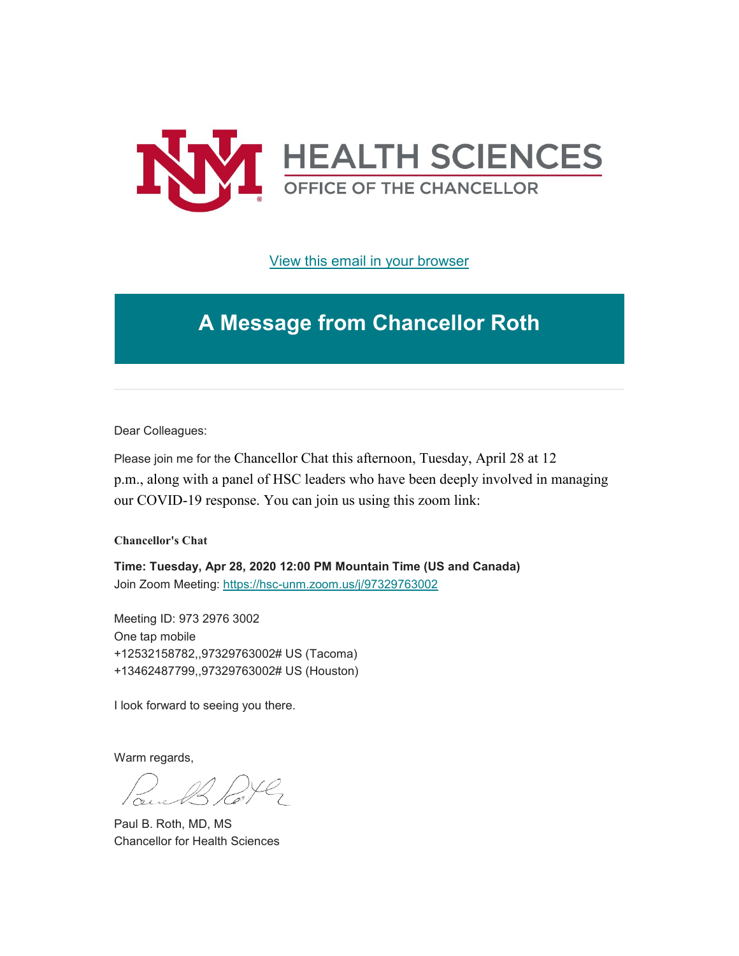

[View this email in your browser](https://mailchi.mp/9c8222f575ef/message-from-the-chancellor-coronavirus-4399432?e=b4bbfca2c0)

## **A Message from Chancellor Roth**

Dear Colleagues:

Please join me for the Chancellor Chat this afternoon, Tuesday, April 28 at 12 p.m., along with a panel of HSC leaders who have been deeply involved in managing our COVID-19 response. You can join us using this zoom link:

**Chancellor's Chat**

**Time: Tuesday, Apr 28, 2020 12:00 PM Mountain Time (US and Canada)** Join Zoom Meeting: [https://hsc-unm.zoom.us/j/97329763002](https://unm.us19.list-manage.com/track/click?u=59ce53c1a4dedb490bac78648&id=58420b17bc&e=b4bbfca2c0)

Meeting ID: 973 2976 3002 One tap mobile +12532158782,,97329763002# US (Tacoma) +13462487799,,97329763002# US (Houston)

I look forward to seeing you there.

Warm regards,

Paul B. Roth, MD, MS Chancellor for Health Sciences